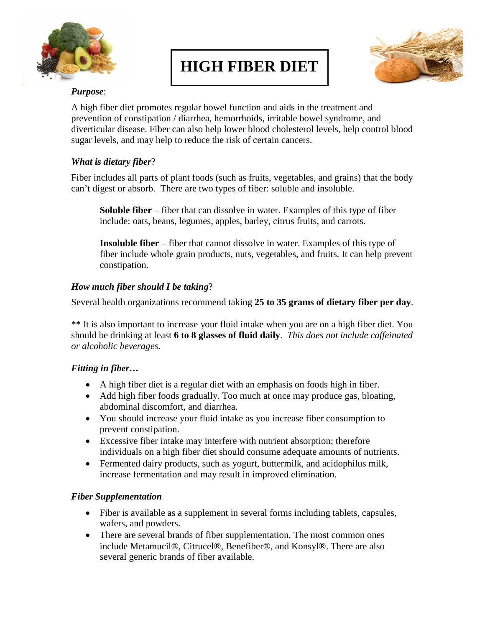

# **HIGH FIBER DIET**



## *Purpose*:

A high fiber diet promotes regular bowel function and aids in the treatment and prevention of constipation / diarrhea, hemorrhoids, irritable bowel syndrome, and diverticular disease. Fiber can also help lower blood cholesterol levels, help control blood sugar levels, and may help to reduce the risk of certain cancers.

### *What is dietary fiber*?

Fiber includes all parts of plant foods (such as fruits, vegetables, and grains) that the body can't digest or absorb. There are two types of fiber: soluble and insoluble.

**Soluble fiber** – fiber that can dissolve in water. Examples of this type of fiber include: oats, beans, legumes, apples, barley, citrus fruits, and carrots.

**Insoluble fiber** – fiber that cannot dissolve in water. Examples of this type of fiber include whole grain products, nuts, vegetables, and fruits. It can help prevent constipation.

### *How much fiber should I be taking*?

Several health organizations recommend taking **25 to 35 grams of dietary fiber per day**.

\*\* It is also important to increase your fluid intake when you are on a high fiber diet. You should be drinking at least **6 to 8 glasses of fluid daily**. *This does not include caffeinated or alcoholic beverages.* 

#### *Fitting in fiber…*

- A high fiber diet is a regular diet with an emphasis on foods high in fiber.
- Add high fiber foods gradually. Too much at once may produce gas, bloating, abdominal discomfort, and diarrhea.
- You should increase your fluid intake as you increase fiber consumption to prevent constipation.
- Excessive fiber intake may interfere with nutrient absorption; therefore individuals on a high fiber diet should consume adequate amounts of nutrients.
- Fermented dairy products, such as yogurt, buttermilk, and acidophilus milk, increase fermentation and may result in improved elimination.

#### *Fiber Supplementation*

- Fiber is available as a supplement in several forms including tablets, capsules, wafers, and powders.
- There are several brands of fiber supplementation. The most common ones include Metamucil®, Citrucel®, Benefiber®, and Konsyl®. There are also several generic brands of fiber available.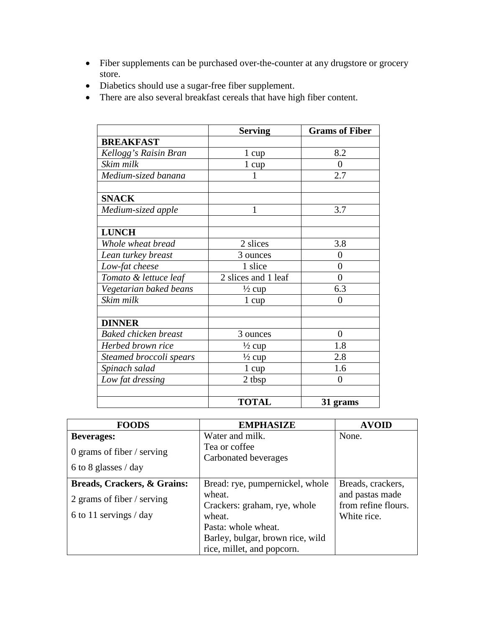- Fiber supplements can be purchased over-the-counter at any drugstore or grocery store.
- Diabetics should use a sugar-free fiber supplement.
- There are also several breakfast cereals that have high fiber content.

|                             | <b>Serving</b>      | <b>Grams of Fiber</b> |
|-----------------------------|---------------------|-----------------------|
| <b>BREAKFAST</b>            |                     |                       |
| Kellogg's Raisin Bran       | 1 cup               | 8.2                   |
| Skim milk                   | 1 cup               | $\theta$              |
| Medium-sized banana         |                     | 2.7                   |
|                             |                     |                       |
| <b>SNACK</b>                |                     |                       |
| Medium-sized apple          | 1                   | 3.7                   |
| <b>LUNCH</b>                |                     |                       |
| Whole wheat bread           | 2 slices            | 3.8                   |
| Lean turkey breast          | 3 ounces            | 0                     |
| Low-fat cheese              | 1 slice             | 0                     |
| Tomato & lettuce leaf       | 2 slices and 1 leaf | $\theta$              |
| Vegetarian baked beans      | $\frac{1}{2}$ cup   | 6.3                   |
| Skim milk                   | $1 \text{ cup}$     | 0                     |
|                             |                     |                       |
| <b>DINNER</b>               |                     |                       |
| <b>Baked chicken breast</b> | 3 ounces            | $\overline{0}$        |
| Herbed brown rice           | $\frac{1}{2}$ cup   | 1.8                   |
| Steamed broccoli spears     | $\frac{1}{2}$ cup   | 2.8                   |
| Spinach salad               | 1 cup               | 1.6                   |
| Low fat dressing            | 2 tbsp              | 0                     |
|                             |                     |                       |
|                             | <b>TOTAL</b>        | 31 grams              |

| <b>FOODS</b>                 | <b>EMPHASIZE</b>                 | <b>AVOID</b>        |
|------------------------------|----------------------------------|---------------------|
| <b>Beverages:</b>            | Water and milk.                  | None.               |
| 0 grams of fiber $/$ serving | Tea or coffee                    |                     |
|                              | Carbonated beverages             |                     |
| 6 to 8 glasses $/$ day       |                                  |                     |
| Breads, Crackers, & Grains:  | Bread: rye, pumpernickel, whole  | Breads, crackers,   |
| 2 grams of fiber / serving   | wheat.                           | and pastas made     |
|                              | Crackers: graham, rye, whole     | from refine flours. |
| 6 to 11 servings $/$ day     | wheat.                           | White rice.         |
|                              | Pasta: whole wheat.              |                     |
|                              | Barley, bulgar, brown rice, wild |                     |
|                              | rice, millet, and popcorn.       |                     |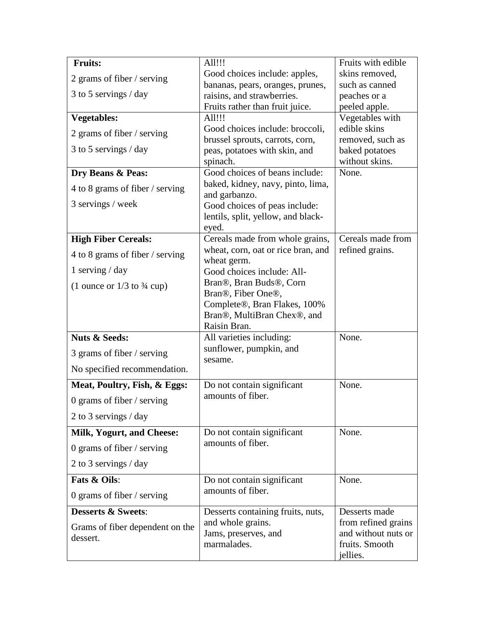| <b>Fruits:</b>                            | All!!!                                             | Fruits with edible              |
|-------------------------------------------|----------------------------------------------------|---------------------------------|
| 2 grams of fiber / serving                | Good choices include: apples,                      | skins removed,                  |
|                                           | bananas, pears, oranges, prunes,                   | such as canned                  |
| 3 to 5 servings / day                     | raisins, and strawberries.                         | peaches or a                    |
|                                           | Fruits rather than fruit juice.<br>All!!!          | peeled apple.                   |
| <b>Vegetables:</b>                        | Good choices include: broccoli,                    | Vegetables with<br>edible skins |
| 2 grams of fiber / serving                | brussel sprouts, carrots, corn,                    | removed, such as                |
| 3 to 5 servings / day                     | peas, potatoes with skin, and                      | baked potatoes                  |
|                                           | spinach.                                           | without skins.                  |
| Dry Beans & Peas:                         | Good choices of beans include:                     | None.                           |
| 4 to 8 grams of fiber / serving           | baked, kidney, navy, pinto, lima,<br>and garbanzo. |                                 |
| 3 servings / week                         | Good choices of peas include:                      |                                 |
|                                           | lentils, split, yellow, and black-                 |                                 |
|                                           | eyed.                                              |                                 |
| <b>High Fiber Cereals:</b>                | Cereals made from whole grains,                    | Cereals made from               |
| 4 to 8 grams of fiber / serving           | wheat, corn, oat or rice bran, and<br>wheat germ.  | refined grains.                 |
| 1 serving $/$ day                         | Good choices include: All-                         |                                 |
| $(1$ ounce or $1/3$ to $\frac{3}{4}$ cup) | Bran®, Bran Buds®, Corn                            |                                 |
|                                           | Bran®, Fiber One®,<br>Complete®, Bran Flakes, 100% |                                 |
|                                           | Bran®, MultiBran Chex®, and                        |                                 |
|                                           | Raisin Bran.                                       |                                 |
| <b>Nuts &amp; Seeds:</b>                  | All varieties including:                           | None.                           |
| 3 grams of fiber / serving                | sunflower, pumpkin, and<br>sesame.                 |                                 |
| No specified recommendation.              |                                                    |                                 |
| Meat, Poultry, Fish, & Eggs:              | Do not contain significant                         | None.                           |
| 0 grams of fiber $/$ serving              | amounts of fiber.                                  |                                 |
| 2 to 3 servings / day                     |                                                    |                                 |
| <b>Milk, Yogurt, and Cheese:</b>          | Do not contain significant                         | None.                           |
| 0 grams of fiber $/$ serving              | amounts of fiber.                                  |                                 |
| 2 to 3 servings / day                     |                                                    |                                 |
| <b>Fats &amp; Oils:</b>                   | Do not contain significant                         | None.                           |
| 0 grams of fiber $/$ serving              | amounts of fiber.                                  |                                 |
| <b>Desserts &amp; Sweets:</b>             | Desserts containing fruits, nuts,                  | Desserts made                   |
| Grams of fiber dependent on the           | and whole grains.                                  | from refined grains             |
| dessert.                                  | Jams, preserves, and                               | and without nuts or             |
|                                           | marmalades.                                        | fruits. Smooth                  |
|                                           |                                                    | jellies.                        |